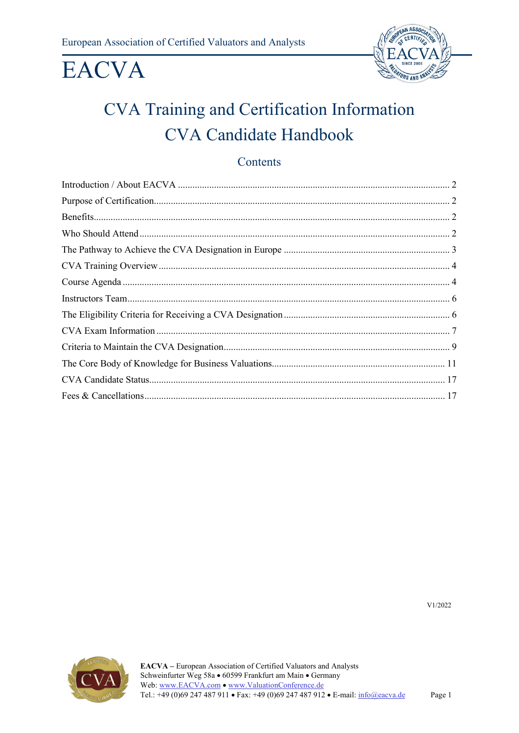

## CVA Training and Certification Information **CVA Candidate Handbook**

### Contents

V1/2022

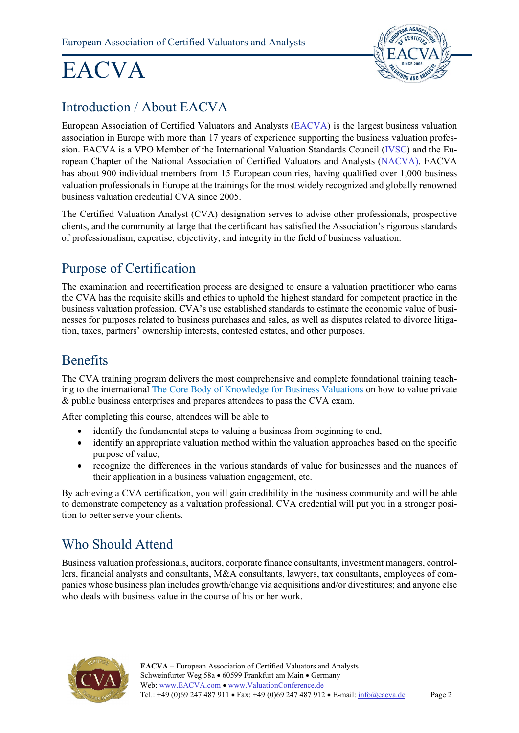

### <span id="page-1-0"></span>Introduction / About EACVA

European Association of Certified Valuators and Analysts [\(EACVA\)](http://www.eacva.com/) is the largest business valuation association in Europe with more than 17 years of experience supporting the business valuation profession. EACVA is a VPO Member of the International Valuation Standards Council [\(IVSC\)](https://www.ivsc.org/) and the European Chapter of the National Association of Certified Valuators and Analysts [\(NACVA\)](http://www.nacva.com/). EACVA has about 900 individual members from 15 European countries, having qualified over 1,000 business valuation professionals in Europe at the trainings for the most widely recognized and globally renowned business valuation credential CVA since 2005.

The Certified Valuation Analyst (CVA) designation serves to advise other professionals, prospective clients, and the community at large that the certificant has satisfied the Association's rigorous standards of professionalism, expertise, objectivity, and integrity in the field of business valuation.

## <span id="page-1-1"></span>Purpose of Certification

The examination and recertification process are designed to ensure a valuation practitioner who earns the CVA has the requisite skills and ethics to uphold the highest standard for competent practice in the business valuation profession. CVA's use established standards to estimate the economic value of businesses for purposes related to business purchases and sales, as well as disputes related to divorce litigation, taxes, partners' ownership interests, contested estates, and other purposes.

### <span id="page-1-2"></span>Benefits

The CVA training program delivers the most comprehensive and complete foundational training teaching to the international [The Core Body of Knowledge for Business Valuations](#page-10-0) on how to value private & public business enterprises and prepares attendees to pass the CVA exam.

After completing this course, attendees will be able to

- identify the fundamental steps to valuing a business from beginning to end,
- identify an appropriate valuation method within the valuation approaches based on the specific purpose of value,
- recognize the differences in the various standards of value for businesses and the nuances of their application in a business valuation engagement, etc.

By achieving a CVA certification, you will gain credibility in the business community and will be able to demonstrate competency as a valuation professional. CVA credential will put you in a stronger position to better serve your clients.

### <span id="page-1-3"></span>Who Should Attend

Business valuation professionals, auditors, corporate finance consultants, investment managers, controllers, financial analysts and consultants, M&A consultants, lawyers, tax consultants, employees of companies whose business plan includes growth/change via acquisitions and/or divestitures; and anyone else who deals with business value in the course of his or her work.

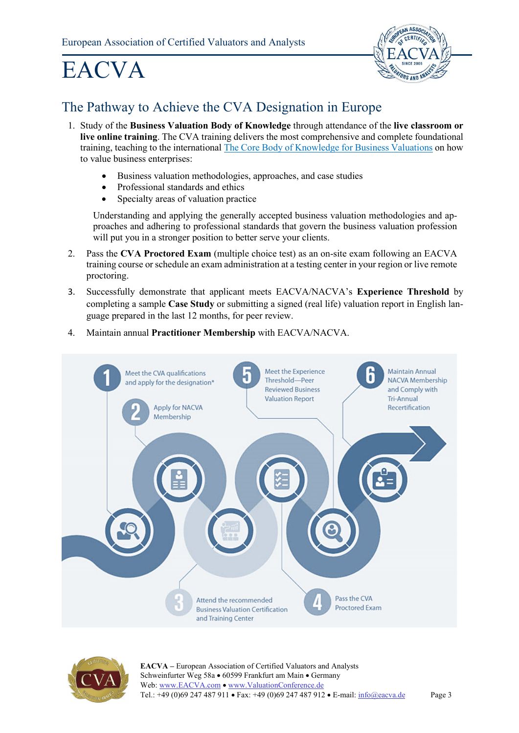

## <span id="page-2-0"></span>The Pathway to Achieve the CVA Designation in Europe

- 1. Study of the **Business Valuation Body of Knowledge** through attendance of the **live classroom or live online training**. The CVA training delivers the most comprehensive and complete foundational training, teaching to the international [The Core Body of Knowledge for](#page-10-0) Business Valuations on how to value business enterprises:
	- Business valuation methodologies, approaches, and case studies
	- Professional standards and ethics
	- Specialty areas of valuation practice

Understanding and applying the generally accepted business valuation methodologies and approaches and adhering to professional standards that govern the business valuation profession will put you in a stronger position to better serve your clients.

- 2. Pass the **CVA Proctored Exam** (multiple choice test) as an on-site exam following an EACVA training course or schedule an exam administration at a testing center in your region or live remote proctoring.
- 3. Successfully demonstrate that applicant meets EACVA/NACVA's **Experience Threshold** by completing a sample **Case Study** or submitting a signed (real life) valuation report in English language prepared in the last 12 months, for peer review.
- 4. Maintain annual **Practitioner Membership** with EACVA/NACVA.



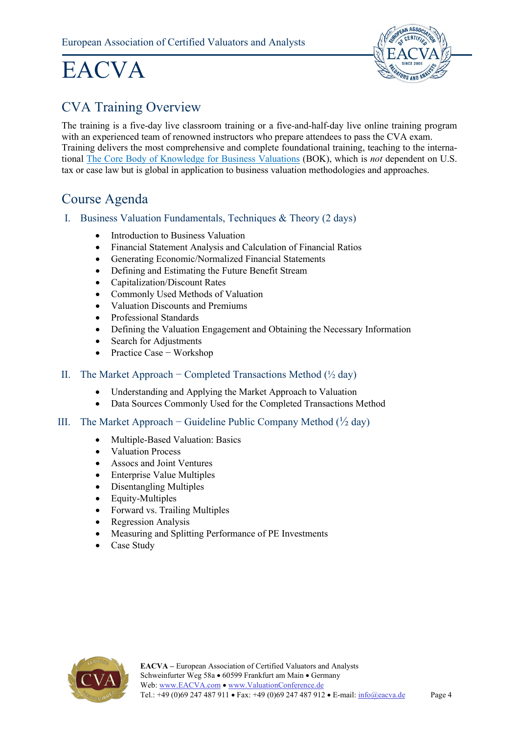

### <span id="page-3-0"></span>CVA Training Overview

The training is a five-day live classroom training or a five-and-half-day live online training program with an experienced team of renowned instructors who prepare attendees to pass the CVA exam. Training delivers the most comprehensive and complete foundational training, teaching to the international [The Core Body of Knowledge for Business Valuations](#page-10-0) (BOK), which is *not* dependent on U.S. tax or case law but is global in application to business valuation methodologies and approaches.

### <span id="page-3-1"></span>Course Agenda

- I. Business Valuation Fundamentals, Techniques & Theory (2 days)
	- Introduction to Business Valuation
	- Financial Statement Analysis and Calculation of Financial Ratios
	- Generating Economic/Normalized Financial Statements
	- Defining and Estimating the Future Benefit Stream
	- Capitalization/Discount Rates
	- Commonly Used Methods of Valuation
	- Valuation Discounts and Premiums
	- Professional Standards
	- Defining the Valuation Engagement and Obtaining the Necessary Information
	- Search for Adjustments
	- Practice Case − Workshop
- II. The Market Approach Completed Transactions Method  $(\frac{1}{2} \text{ day})$ 
	- Understanding and Applying the Market Approach to Valuation
	- Data Sources Commonly Used for the Completed Transactions Method

#### III. The Market Approach – Guideline Public Company Method  $(\frac{1}{2} \text{ day})$

- Multiple-Based Valuation: Basics
- Valuation Process
- Assocs and Joint Ventures
- Enterprise Value Multiples
- Disentangling Multiples
- Equity-Multiples
- Forward vs. Trailing Multiples
- Regression Analysis
- Measuring and Splitting Performance of PE Investments
- Case Study

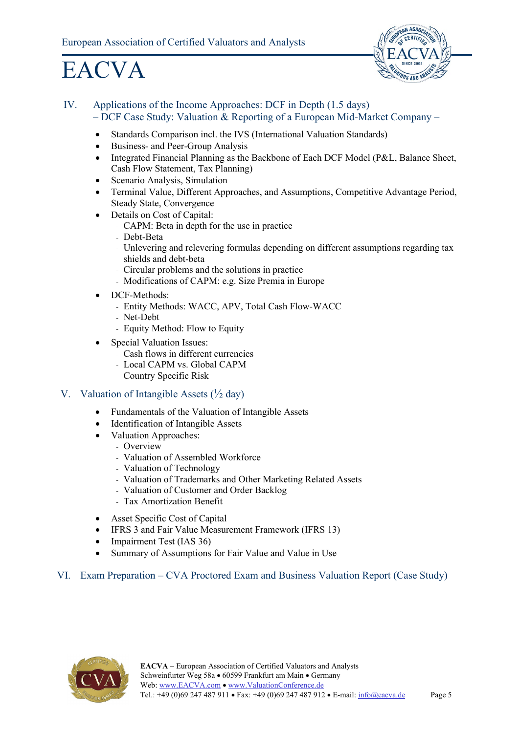

#### IV. Applications of the Income Approaches: DCF in Depth (1.5 days) – DCF Case Study: Valuation & Reporting of a European Mid-Market Company –

- Standards Comparison incl. the IVS (International Valuation Standards)
- Business- and Peer-Group Analysis
- Integrated Financial Planning as the Backbone of Each DCF Model (P&L, Balance Sheet, Cash Flow Statement, Tax Planning)
- Scenario Analysis, Simulation
- Terminal Value, Different Approaches, and Assumptions, Competitive Advantage Period, Steady State, Convergence
- Details on Cost of Capital:
	- CAPM: Beta in depth for the use in practice
	- Debt-Beta
	- Unlevering and relevering formulas depending on different assumptions regarding tax shields and debt-beta
	- Circular problems and the solutions in practice
	- Modifications of CAPM: e.g. Size Premia in Europe
- DCF-Methods:
	- Entity Methods: WACC, APV, Total Cash Flow-WACC
	- Net-Debt
	- Equity Method: Flow to Equity
- Special Valuation Issues:
	- Cash flows in different currencies
	- Local CAPM vs. Global CAPM
	- Country Specific Risk

#### V. Valuation of Intangible Assets  $(\frac{1}{2} \text{ day})$

- Fundamentals of the Valuation of Intangible Assets
- Identification of Intangible Assets
- Valuation Approaches:
	- Overview
	- Valuation of Assembled Workforce
	- Valuation of Technology
	- Valuation of Trademarks and Other Marketing Related Assets
	- Valuation of Customer and Order Backlog
	- Tax Amortization Benefit
- Asset Specific Cost of Capital
- IFRS 3 and Fair Value Measurement Framework (IFRS 13)
- Impairment Test (IAS 36)
- Summary of Assumptions for Fair Value and Value in Use

#### VI. Exam Preparation – CVA Proctored Exam and Business Valuation Report (Case Study)

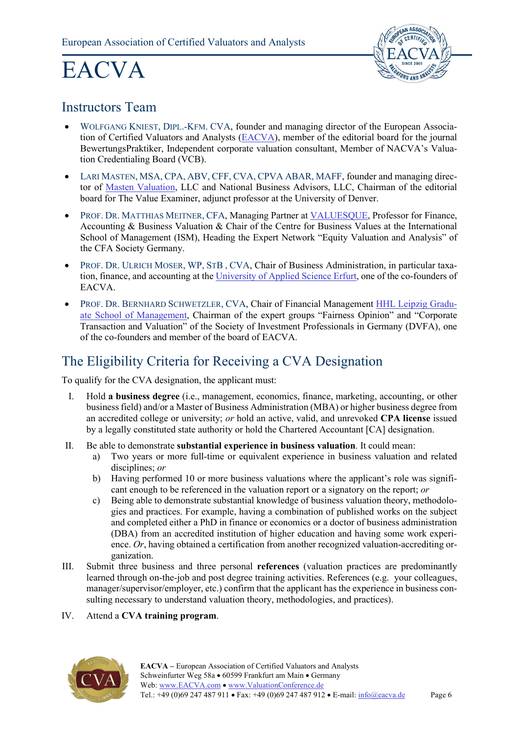

### <span id="page-5-0"></span>Instructors Team

- WOLFGANG KNIEST, DIPL.-KFM. CVA, founder and managing director of the European Associa-tion of Certified Valuators and Analysts [\(EACVA\)](https://www.eacva.de/ihre-eacva/geschaeftsfuehrung.html), member of the editorial board for the journal BewertungsPraktiker, Independent corporate valuation consultant, Member of NACVA's Valuation Credentialing Board (VCB).
- LARI MASTEN, MSA, CPA, ABV, CFF, CVA, CPVA ABAR, MAFF, founder and managing director of [Masten Valuation,](http://www.mastenvaluation.com/about-us.html) LLC and National Business Advisors, LLC, Chairman of the editorial board for The Value Examiner, adjunct professor at the University of Denver.
- PROF. DR. MATTHIAS MEITNER, CFA, Managing Partner at [VALUESQUE,](https://valuesque.com/en/about-us/) Professor for Finance, Accounting & Business Valuation & Chair of the Centre for Business Values at the International School of Management (ISM), Heading the Expert Network "Equity Valuation and Analysis" of the CFA Society Germany.
- PROF. DR. ULRICH MOSER, WP, STB , CVA, Chair of Business Administration, in particular taxation, finance, and accounting at th[e University of Applied Science Erfurt,](https://www.fh-erfurt.de/wlv/en/wi/lehrende/ulrich-moser-eng/) one of the co-founders of EACVA.
- PROF. DR. BERNHARD SCHWETZLER, CVA, Chair of Financial Management [HHL Leipzig Gradu](https://www.hhl.de/faculty-research/prof-dr-bernhard-schwetzler/)[ate School of Management,](https://www.hhl.de/faculty-research/prof-dr-bernhard-schwetzler/) Chairman of the expert groups "Fairness Opinion" and "Corporate Transaction and Valuation" of the Society of Investment Professionals in Germany (DVFA), one of the co-founders and member of the board of EACVA.

## <span id="page-5-1"></span>The Eligibility Criteria for Receiving a CVA Designation

To qualify for the CVA designation, the applicant must:

- I. Hold **a business degree** (i.e., management, economics, finance, marketing, accounting, or other business field) and/or a Master of Business Administration (MBA) or higher business degree from an accredited college or university; *or* hold an active, valid, and unrevoked **CPA license** issued by a legally constituted state authority or hold the Chartered Accountant [CA] designation.
- II. Be able to demonstrate **substantial experience in business valuation**. It could mean:
	- a) Two years or more full-time or equivalent experience in business valuation and related disciplines; *or*
	- b) Having performed 10 or more business valuations where the applicant's role was significant enough to be referenced in the valuation report or a signatory on the report; *or*
	- c) Being able to demonstrate substantial knowledge of business valuation theory, methodologies and practices. For example, having a combination of published works on the subject and completed either a PhD in finance or economics or a doctor of business administration (DBA) from an accredited institution of higher education and having some work experience. *Or*, having obtained a certification from another recognized valuation-accrediting organization.
- III. Submit three business and three personal **references** (valuation practices are predominantly learned through on-the-job and post degree training activities. References (e.g. your colleagues, manager/supervisor/employer, etc.) confirm that the applicant has the experience in business consulting necessary to understand valuation theory, methodologies, and practices).

#### IV. Attend a **CVA training program**.

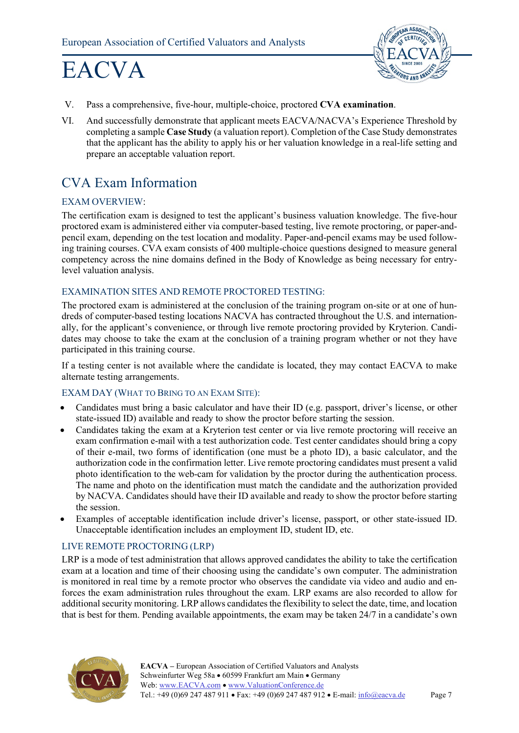

- V. Pass a comprehensive, five-hour, multiple-choice, proctored **CVA examination**.
- VI. And successfully demonstrate that applicant meets EACVA/NACVA's Experience Threshold by completing a sample **Case Study** (a valuation report). Completion of the Case Study demonstrates that the applicant has the ability to apply his or her valuation knowledge in a real-life setting and prepare an acceptable valuation report.

### <span id="page-6-0"></span>CVA Exam Information

#### EXAM OVERVIEW:

The certification exam is designed to test the applicant's business valuation knowledge. The five-hour proctored exam is administered either via computer-based testing, live remote proctoring, or paper-andpencil exam, depending on the test location and modality. Paper-and-pencil exams may be used following training courses. CVA exam consists of 400 multiple-choice questions designed to measure general competency across the nine domains defined in the Body of Knowledge as being necessary for entrylevel valuation analysis.

#### EXAMINATION SITES AND REMOTE PROCTORED TESTING:

The proctored exam is administered at the conclusion of the training program on-site or at one of hundreds of computer-based testing locations NACVA has contracted throughout the U.S. and internationally, for the applicant's convenience, or through live remote proctoring provided by Kryterion. Candidates may choose to take the exam at the conclusion of a training program whether or not they have participated in this training course.

If a testing center is not available where the candidate is located, they may contact EACVA to make alternate testing arrangements.

#### EXAM DAY (WHAT TO BRING TO AN EXAM SITE):

- Candidates must bring a basic calculator and have their ID (e.g. passport, driver's license, or other state-issued ID) available and ready to show the proctor before starting the session.
- Candidates taking the exam at a Kryterion test center or via live remote proctoring will receive an exam confirmation e-mail with a test authorization code. Test center candidates should bring a copy of their e-mail, two forms of identification (one must be a photo ID), a basic calculator, and the authorization code in the confirmation letter. Live remote proctoring candidates must present a valid photo identification to the web-cam for validation by the proctor during the authentication process. The name and photo on the identification must match the candidate and the authorization provided by NACVA. Candidates should have their ID available and ready to show the proctor before starting the session.
- Examples of acceptable identification include driver's license, passport, or other state-issued ID. Unacceptable identification includes an employment ID, student ID, etc.

#### LIVE REMOTE PROCTORING (LRP)

LRP is a mode of test administration that allows approved candidates the ability to take the certification exam at a location and time of their choosing using the candidate's own computer. The administration is monitored in real time by a remote proctor who observes the candidate via video and audio and enforces the exam administration rules throughout the exam. LRP exams are also recorded to allow for additional security monitoring. LRP allows candidates the flexibility to select the date, time, and location that is best for them. Pending available appointments, the exam may be taken 24/7 in a candidate's own

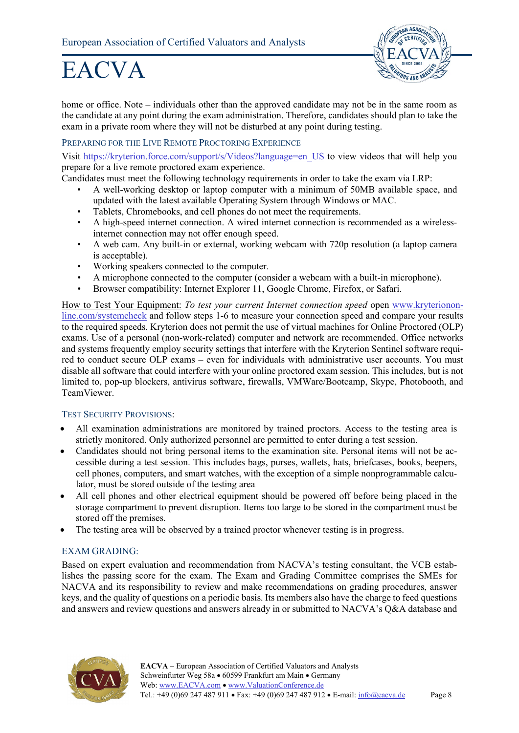

home or office. Note – individuals other than the approved candidate may not be in the same room as the candidate at any point during the exam administration. Therefore, candidates should plan to take the exam in a private room where they will not be disturbed at any point during testing.

#### PREPARING FOR THE LIVE REMOTE PROCTORING EXPERIENCE

Visit [https://kryterion.force.com/support/s/Videos?language=en\\_US](https://kryterion.force.com/support/s/Videos?language=en_US) to view videos that will help you prepare for a live remote proctored exam experience.

Candidates must meet the following technology requirements in order to take the exam via LRP:

- A well-working desktop or laptop computer with a minimum of 50MB available space, and updated with the latest available Operating System through Windows or MAC.
- Tablets, Chromebooks, and cell phones do not meet the requirements.
- A high-speed internet connection. A wired internet connection is recommended as a wirelessinternet connection may not offer enough speed.
- A web cam. Any built-in or external, working webcam with 720p resolution (a laptop camera is acceptable).
- Working speakers connected to the computer.
- A microphone connected to the computer (consider a webcam with a built-in microphone).
- Browser compatibility: Internet Explorer 11, Google Chrome, Firefox, or Safari.

How to Test Your Equipment: *To test your current Internet connection speed* open [www.kryterionon](https://www.kryteriononline.com/systemcheck/)[line.com/systemcheck](https://www.kryteriononline.com/systemcheck/) and follow steps 1-6 to measure your connection speed and compare your results to the required speeds. Kryterion does not permit the use of virtual machines for Online Proctored (OLP) exams. Use of a personal (non-work-related) computer and network are recommended. Office networks and systems frequently employ security settings that interfere with the Kryterion Sentinel software required to conduct secure OLP exams – even for individuals with administrative user accounts. You must disable all software that could interfere with your online proctored exam session. This includes, but is not limited to, pop-up blockers, antivirus software, firewalls, VMWare/Bootcamp, Skype, Photobooth, and TeamViewer.

#### TEST SECURITY PROVISIONS:

- All examination administrations are monitored by trained proctors. Access to the testing area is strictly monitored. Only authorized personnel are permitted to enter during a test session.
- Candidates should not bring personal items to the examination site. Personal items will not be accessible during a test session. This includes bags, purses, wallets, hats, briefcases, books, beepers, cell phones, computers, and smart watches, with the exception of a simple nonprogrammable calculator, must be stored outside of the testing area
- All cell phones and other electrical equipment should be powered off before being placed in the storage compartment to prevent disruption. Items too large to be stored in the compartment must be stored off the premises.
- The testing area will be observed by a trained proctor whenever testing is in progress.

#### EXAM GRADING:

Based on expert evaluation and recommendation from NACVA's testing consultant, the VCB establishes the passing score for the exam. The Exam and Grading Committee comprises the SMEs for NACVA and its responsibility to review and make recommendations on grading procedures, answer keys, and the quality of questions on a periodic basis. Its members also have the charge to feed questions and answers and review questions and answers already in or submitted to NACVA's Q&A database and

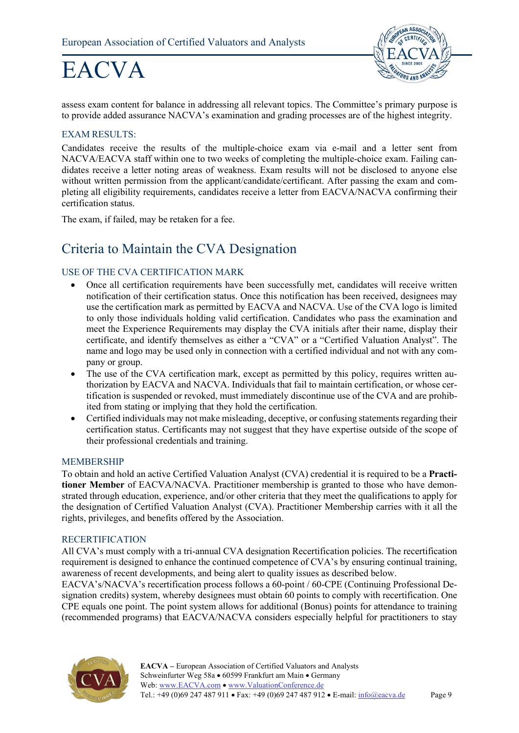

assess exam content for balance in addressing all relevant topics. The Committee's primary purpose is to provide added assurance NACVA's examination and grading processes are of the highest integrity.

#### EXAM RESULTS:

Candidates receive the results of the multiple-choice exam via e-mail and a letter sent from NACVA/EACVA staff within one to two weeks of completing the multiple-choice exam. Failing candidates receive a letter noting areas of weakness. Exam results will not be disclosed to anyone else without written permission from the applicant/candidate/certificant. After passing the exam and completing all eligibility requirements, candidates receive a letter from EACVA/NACVA confirming their certification status.

The exam, if failed, may be retaken for a fee.

### <span id="page-8-0"></span>Criteria to Maintain the CVA Designation

#### USE OF THE CVA CERTIFICATION MARK

- Once all certification requirements have been successfully met, candidates will receive written notification of their certification status. Once this notification has been received, designees may use the certification mark as permitted by EACVA and NACVA. Use of the CVA logo is limited to only those individuals holding valid certification. Candidates who pass the examination and meet the Experience Requirements may display the CVA initials after their name, display their certificate, and identify themselves as either a "CVA" or a "Certified Valuation Analyst". The name and logo may be used only in connection with a certified individual and not with any company or group.
- The use of the CVA certification mark, except as permitted by this policy, requires written authorization by EACVA and NACVA. Individuals that fail to maintain certification, or whose certification is suspended or revoked, must immediately discontinue use of the CVA and are prohibited from stating or implying that they hold the certification.
- Certified individuals may not make misleading, deceptive, or confusing statements regarding their certification status. Certificants may not suggest that they have expertise outside of the scope of their professional credentials and training.

#### MEMBERSHIP

To obtain and hold an active Certified Valuation Analyst (CVA) credential it is required to be a **Practitioner Member** of EACVA/NACVA. Practitioner membership is granted to those who have demonstrated through education, experience, and/or other criteria that they meet the qualifications to apply for the designation of Certified Valuation Analyst (CVA). Practitioner Membership carries with it all the rights, privileges, and benefits offered by the Association.

#### RECERTIFICATION

All CVA's must comply with a tri-annual CVA designation Recertification policies. The recertification requirement is designed to enhance the continued competence of CVA's by ensuring continual training, awareness of recent developments, and being alert to quality issues as described below.

EACVA's/NACVA's recertification process follows a 60-point / 60-CPE (Continuing Professional Designation credits) system, whereby designees must obtain 60 points to comply with recertification. One CPE equals one point. The point system allows for additional (Bonus) points for attendance to training (recommended programs) that EACVA/NACVA considers especially helpful for practitioners to stay

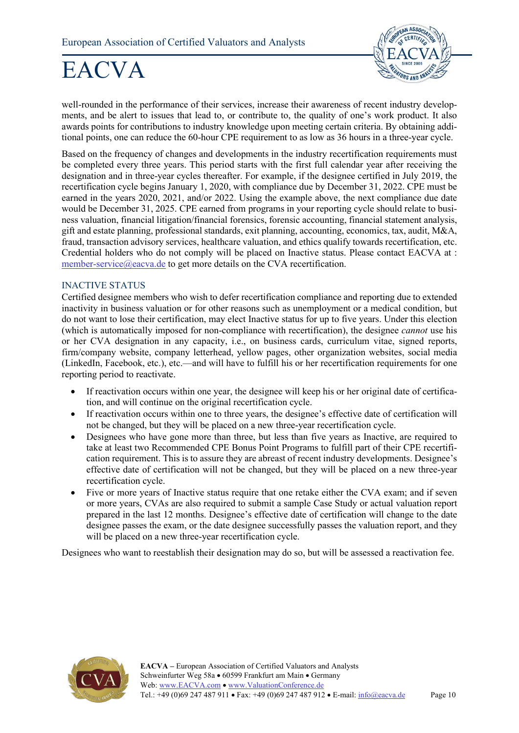

well-rounded in the performance of their services, increase their awareness of recent industry developments, and be alert to issues that lead to, or contribute to, the quality of one's work product. It also awards points for contributions to industry knowledge upon meeting certain criteria. By obtaining additional points, one can reduce the 60-hour CPE requirement to as low as 36 hours in a three-year cycle.

Based on the frequency of changes and developments in the industry recertification requirements must be completed every three years. This period starts with the first full calendar year after receiving the designation and in three-year cycles thereafter. For example, if the designee certified in July 2019, the recertification cycle begins January 1, 2020, with compliance due by December 31, 2022. CPE must be earned in the years 2020, 2021, and/or 2022. Using the example above, the next compliance due date would be December 31, 2025. CPE earned from programs in your reporting cycle should relate to business valuation, financial litigation/financial forensics, forensic accounting, financial statement analysis, gift and estate planning, professional standards, exit planning, accounting, economics, tax, audit, M&A, fraud, transaction advisory services, healthcare valuation, and ethics qualify towards recertification, etc. Credential holders who do not comply will be placed on Inactive status. Please contact EACVA at : [member-service@eacva.de](mailto:member-service@eacva.de) to get more details on the CVA recertification.

#### INACTIVE STATUS

Certified designee members who wish to defer recertification compliance and reporting due to extended inactivity in business valuation or for other reasons such as unemployment or a medical condition, but do not want to lose their certification, may elect Inactive status for up to five years. Under this election (which is automatically imposed for non-compliance with recertification), the designee *cannot* use his or her CVA designation in any capacity, i.e., on business cards, curriculum vitae, signed reports, firm/company website, company letterhead, yellow pages, other organization websites, social media (LinkedIn, Facebook, etc.), etc.—and will have to fulfill his or her recertification requirements for one reporting period to reactivate.

- If reactivation occurs within one year, the designee will keep his or her original date of certification, and will continue on the original recertification cycle.
- If reactivation occurs within one to three years, the designee's effective date of certification will not be changed, but they will be placed on a new three-year recertification cycle.
- Designees who have gone more than three, but less than five years as Inactive, are required to take at least two Recommended CPE Bonus Point Programs to fulfill part of their CPE recertification requirement. This is to assure they are abreast of recent industry developments. Designee's effective date of certification will not be changed, but they will be placed on a new three-year recertification cycle.
- Five or more years of Inactive status require that one retake either the CVA exam; and if seven or more years, CVAs are also required to submit a sample Case Study or actual valuation report prepared in the last 12 months. Designee's effective date of certification will change to the date designee passes the exam, or the date designee successfully passes the valuation report, and they will be placed on a new three-year recertification cycle.

Designees who want to reestablish their designation may do so, but will be assessed a reactivation fee.

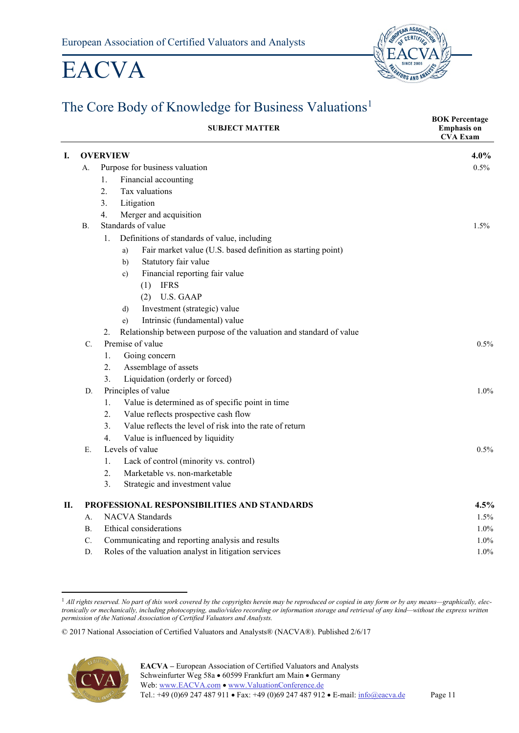

## <span id="page-10-0"></span>The Core Body of Knowledge for Business Valuations<sup>[1](#page-10-1)</sup>

|    |           | <b>SUBJECT MATTER</b>                                                     | <b>BOK Percentage</b><br><b>Emphasis on</b><br><b>CVA Exam</b> |
|----|-----------|---------------------------------------------------------------------------|----------------------------------------------------------------|
| Ι. |           | <b>OVERVIEW</b>                                                           | 4.0%                                                           |
|    | A.        | Purpose for business valuation                                            | 0.5%                                                           |
|    |           | Financial accounting<br>1.                                                |                                                                |
|    |           | 2.<br>Tax valuations                                                      |                                                                |
|    |           | 3.<br>Litigation                                                          |                                                                |
|    |           | 4.<br>Merger and acquisition                                              |                                                                |
|    | <b>B.</b> | Standards of value                                                        | 1.5%                                                           |
|    |           | Definitions of standards of value, including<br>1.                        |                                                                |
|    |           | Fair market value (U.S. based definition as starting point)<br>a)         |                                                                |
|    |           | Statutory fair value<br>b)                                                |                                                                |
|    |           | Financial reporting fair value<br>c)                                      |                                                                |
|    |           | <b>IFRS</b><br>(1)                                                        |                                                                |
|    |           | <b>U.S. GAAP</b><br>(2)                                                   |                                                                |
|    |           | Investment (strategic) value<br>d)                                        |                                                                |
|    |           | Intrinsic (fundamental) value<br>e)                                       |                                                                |
|    |           | Relationship between purpose of the valuation and standard of value<br>2. |                                                                |
|    | C.        | Premise of value                                                          | $0.5\%$                                                        |
|    |           | 1.<br>Going concern                                                       |                                                                |
|    |           | 2.<br>Assemblage of assets                                                |                                                                |
|    |           | 3.<br>Liquidation (orderly or forced)                                     |                                                                |
|    | D.        | Principles of value                                                       | 1.0%                                                           |
|    |           | 1.<br>Value is determined as of specific point in time                    |                                                                |
|    |           | 2.<br>Value reflects prospective cash flow                                |                                                                |
|    |           | 3.<br>Value reflects the level of risk into the rate of return            |                                                                |
|    |           | $\overline{4}$ .<br>Value is influenced by liquidity                      |                                                                |
|    | E.        | Levels of value                                                           | $0.5\%$                                                        |
|    |           | 1.<br>Lack of control (minority vs. control)                              |                                                                |
|    |           | Marketable vs. non-marketable<br>2.                                       |                                                                |
|    |           | 3.<br>Strategic and investment value                                      |                                                                |
| П. |           | PROFESSIONAL RESPONSIBILITIES AND STANDARDS                               | 4.5%                                                           |
|    | $A$ .     | <b>NACVA</b> Standards                                                    | 1.5%                                                           |
|    | Β.        | Ethical considerations                                                    | $1.0\%$                                                        |
|    | C.        | Communicating and reporting analysis and results                          | $1.0\%$                                                        |
|    | D.        | Roles of the valuation analyst in litigation services                     | 1.0%                                                           |

<span id="page-10-1"></span><sup>&</sup>lt;sup>1</sup> All rights reserved. No part of this work covered by the copyrights herein may be reproduced or copied in any form or by any means—graphically, elec*tronically or mechanically, including photocopying, audio/video recording or information storage and retrieval of any kind—without the express written permission of the National Association of Certified Valuators and Analysts.*

<sup>© 2017</sup> National Association of Certified Valuators and Analysts® (NACVA®). Published 2/6/17

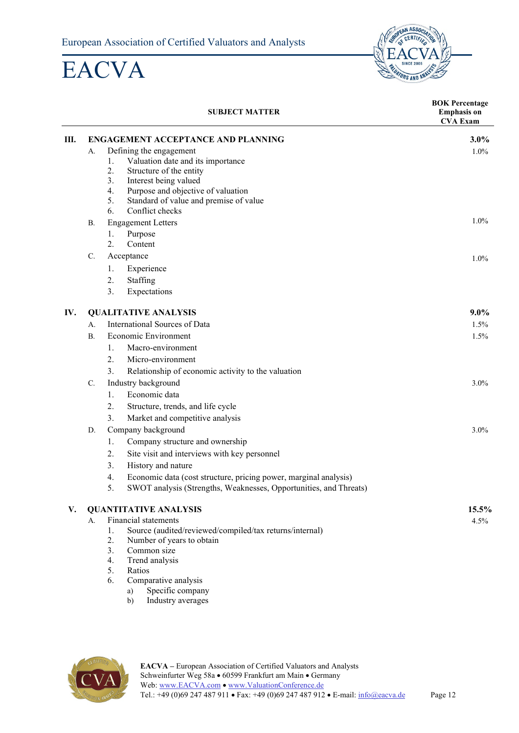

|     |                             | <b>SUBJECT MATTER</b>                                                                                                                                                                                                          | <b>BOK Percentage</b><br><b>Emphasis on</b><br><b>CVA Exam</b> |
|-----|-----------------------------|--------------------------------------------------------------------------------------------------------------------------------------------------------------------------------------------------------------------------------|----------------------------------------------------------------|
| Ш.  |                             | ENGAGEMENT ACCEPTANCE AND PLANNING                                                                                                                                                                                             | $3.0\%$                                                        |
|     | А.                          | Defining the engagement<br>1.<br>Valuation date and its importance<br>2.<br>Structure of the entity<br>3.<br>Interest being valued<br>4.<br>Purpose and objective of valuation<br>5.<br>Standard of value and premise of value | $1.0\%$                                                        |
|     |                             | 6.<br>Conflict checks                                                                                                                                                                                                          |                                                                |
|     | В.                          | <b>Engagement Letters</b>                                                                                                                                                                                                      | $1.0\%$                                                        |
|     |                             | 1.<br>Purpose<br>2.<br>Content                                                                                                                                                                                                 |                                                                |
|     | $\mathbb{C}$ .              | Acceptance                                                                                                                                                                                                                     | $1.0\%$                                                        |
|     |                             | Experience<br>1.                                                                                                                                                                                                               |                                                                |
|     |                             | 2.<br>Staffing                                                                                                                                                                                                                 |                                                                |
|     |                             | 3.<br>Expectations                                                                                                                                                                                                             |                                                                |
| IV. | <b>QUALITATIVE ANALYSIS</b> |                                                                                                                                                                                                                                | $9.0\%$                                                        |
|     | A.                          | International Sources of Data                                                                                                                                                                                                  | 1.5%                                                           |
|     | В.                          | Economic Environment                                                                                                                                                                                                           |                                                                |
|     |                             | Macro-environment<br>1.                                                                                                                                                                                                        |                                                                |
|     |                             | 2.<br>Micro-environment                                                                                                                                                                                                        |                                                                |
|     |                             | 3.<br>Relationship of economic activity to the valuation                                                                                                                                                                       |                                                                |
|     | C.                          | Industry background                                                                                                                                                                                                            | $3.0\%$                                                        |
|     |                             | Economic data<br>1.                                                                                                                                                                                                            |                                                                |
|     |                             | Structure, trends, and life cycle<br>2.                                                                                                                                                                                        |                                                                |
|     |                             | 3.<br>Market and competitive analysis                                                                                                                                                                                          |                                                                |
|     | D.                          | Company background                                                                                                                                                                                                             | $3.0\%$                                                        |
|     |                             | Company structure and ownership<br>1.                                                                                                                                                                                          |                                                                |
|     |                             | 2.<br>Site visit and interviews with key personnel                                                                                                                                                                             |                                                                |
|     |                             | 3.<br>History and nature                                                                                                                                                                                                       |                                                                |
|     |                             | Economic data (cost structure, pricing power, marginal analysis)<br>4.                                                                                                                                                         |                                                                |
|     |                             | SWOT analysis (Strengths, Weaknesses, Opportunities, and Threats)<br>5.                                                                                                                                                        |                                                                |
| V.  |                             | <b>QUANTITATIVE ANALYSIS</b>                                                                                                                                                                                                   | 15.5%                                                          |
|     | А.                          | <b>Financial statements</b>                                                                                                                                                                                                    | 4.5%                                                           |
|     |                             | Source (audited/reviewed/compiled/tax returns/internal)<br>1.                                                                                                                                                                  |                                                                |
|     |                             | 2.<br>Number of years to obtain                                                                                                                                                                                                |                                                                |
|     |                             | Common size<br>3.<br>4.<br>Trend analysis                                                                                                                                                                                      |                                                                |
|     |                             | 5.<br>Ratios                                                                                                                                                                                                                   |                                                                |
|     |                             | Comparative analysis<br>6.<br>Specific company<br>a)                                                                                                                                                                           |                                                                |

b) Industry averages

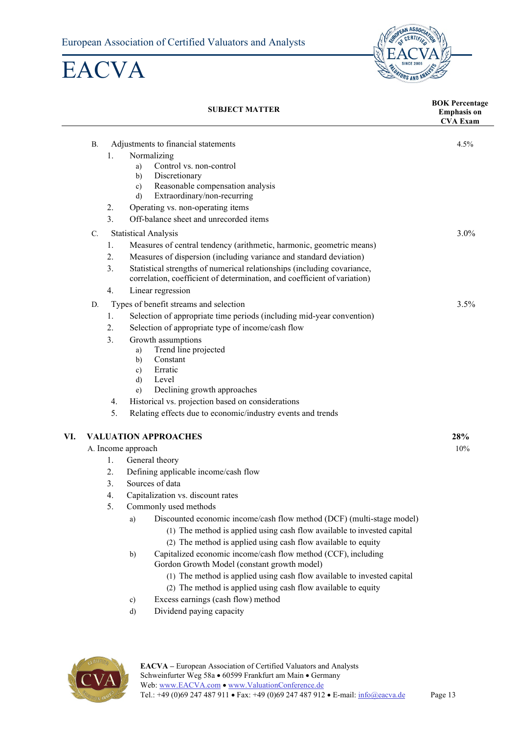

|     |           |    | <b>SUBJECT MATTER</b>                                                                                                                               | <b>BOK Percentage</b><br><b>Emphasis on</b><br><b>CVA Exam</b> |
|-----|-----------|----|-----------------------------------------------------------------------------------------------------------------------------------------------------|----------------------------------------------------------------|
|     | <b>B.</b> |    | Adjustments to financial statements                                                                                                                 | 4.5%                                                           |
|     |           | 1. | Normalizing                                                                                                                                         |                                                                |
|     |           |    | Control vs. non-control<br>a)                                                                                                                       |                                                                |
|     |           |    | Discretionary<br>b)                                                                                                                                 |                                                                |
|     |           |    | Reasonable compensation analysis<br>$\mathbf{c})$                                                                                                   |                                                                |
|     |           |    | Extraordinary/non-recurring<br>d)                                                                                                                   |                                                                |
|     |           | 2. | Operating vs. non-operating items                                                                                                                   |                                                                |
|     |           | 3. | Off-balance sheet and unrecorded items                                                                                                              |                                                                |
|     | C.        |    | <b>Statistical Analysis</b>                                                                                                                         | 3.0%                                                           |
|     |           | 1. | Measures of central tendency (arithmetic, harmonic, geometric means)                                                                                |                                                                |
|     |           | 2. | Measures of dispersion (including variance and standard deviation)                                                                                  |                                                                |
|     |           | 3. | Statistical strengths of numerical relationships (including covariance,<br>correlation, coefficient of determination, and coefficient of variation) |                                                                |
|     |           | 4. | Linear regression                                                                                                                                   |                                                                |
|     | D.        |    | Types of benefit streams and selection                                                                                                              | 3.5%                                                           |
|     |           | 1. | Selection of appropriate time periods (including mid-year convention)                                                                               |                                                                |
|     |           | 2. | Selection of appropriate type of income/cash flow                                                                                                   |                                                                |
|     |           | 3. | Growth assumptions                                                                                                                                  |                                                                |
|     |           |    | Trend line projected<br>a)<br>Constant                                                                                                              |                                                                |
|     |           |    | b)<br>Erratic<br>$\mathbf{c})$                                                                                                                      |                                                                |
|     |           |    | Level<br>$\mathbf{d}$                                                                                                                               |                                                                |
|     |           |    | Declining growth approaches<br>e)                                                                                                                   |                                                                |
|     |           | 4. | Historical vs. projection based on considerations                                                                                                   |                                                                |
|     |           | 5. | Relating effects due to economic/industry events and trends                                                                                         |                                                                |
| VI. |           |    | <b>VALUATION APPROACHES</b>                                                                                                                         | 28%                                                            |
|     |           |    | A. Income approach                                                                                                                                  | 10%                                                            |
|     |           | 1. | General theory                                                                                                                                      |                                                                |
|     |           | 2. | Defining applicable income/cash flow                                                                                                                |                                                                |
|     |           | 3. | Sources of data                                                                                                                                     |                                                                |
|     |           | 4. | Capitalization vs. discount rates                                                                                                                   |                                                                |
|     |           | 5. | Commonly used methods                                                                                                                               |                                                                |
|     |           |    | Discounted economic income/cash flow method (DCF) (multi-stage model)<br>a)                                                                         |                                                                |
|     |           |    | (1) The method is applied using cash flow available to invested capital                                                                             |                                                                |
|     |           |    | (2) The method is applied using cash flow available to equity                                                                                       |                                                                |
|     |           |    | Capitalized economic income/cash flow method (CCF), including<br>b)                                                                                 |                                                                |
|     |           |    | Gordon Growth Model (constant growth model)<br>(1) The method is applied using cash flow available to invested capital                              |                                                                |
|     |           |    | (2) The method is applied using cash flow available to equity                                                                                       |                                                                |
|     |           |    | Excess earnings (cash flow) method<br>c)                                                                                                            |                                                                |
|     |           |    | Dividend paying capacity<br>$\mathbf{d}$                                                                                                            |                                                                |
|     |           |    |                                                                                                                                                     |                                                                |

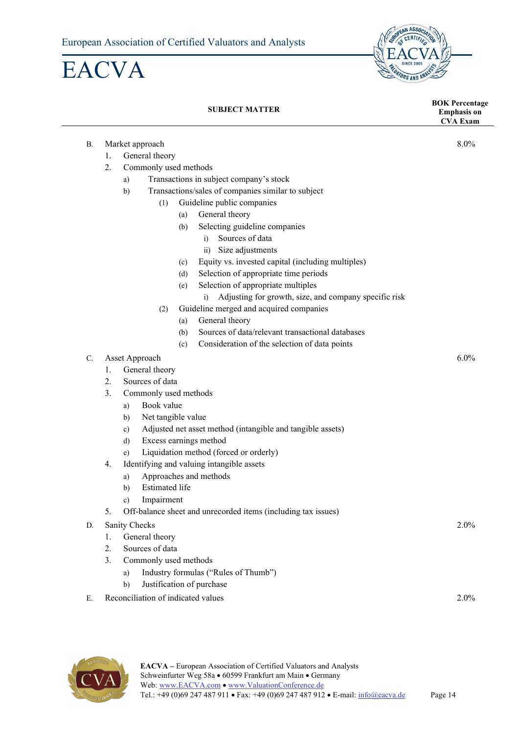



#### **SUBJECT MATTER BOK Percentage Emphasis on CVA Exam** B. Market approach 8.0% 1. General theory 2. Commonly used methods a) Transactions in subject company's stock b) Transactions/sales of companies similar to subject (1) Guideline public companies (a) General theory (b) Selecting guideline companies i) Sources of data ii) Size adjustments (c) Equity vs. invested capital (including multiples) (d) Selection of appropriate time periods (e) Selection of appropriate multiples i) Adjusting for growth, size, and company specific risk (2) Guideline merged and acquired companies (a) General theory (b) Sources of data/relevant transactional databases (c) Consideration of the selection of data points C. Asset Approach 6.0% 1. General theory 2. Sources of data 3. Commonly used methods a) Book value b) Net tangible value c) Adjusted net asset method (intangible and tangible assets) d) Excess earnings method e) Liquidation method (forced or orderly) 4. Identifying and valuing intangible assets a) Approaches and methods b) Estimated life c) Impairment 5. Off-balance sheet and unrecorded items (including tax issues) D. Sanity Checks 2.0% 2.0% 1. General theory 2. Sources of data 3. Commonly used methods a) Industry formulas ("Rules of Thumb") b) Justification of purchase E. Reconciliation of indicated values 2.0% and 2.0%

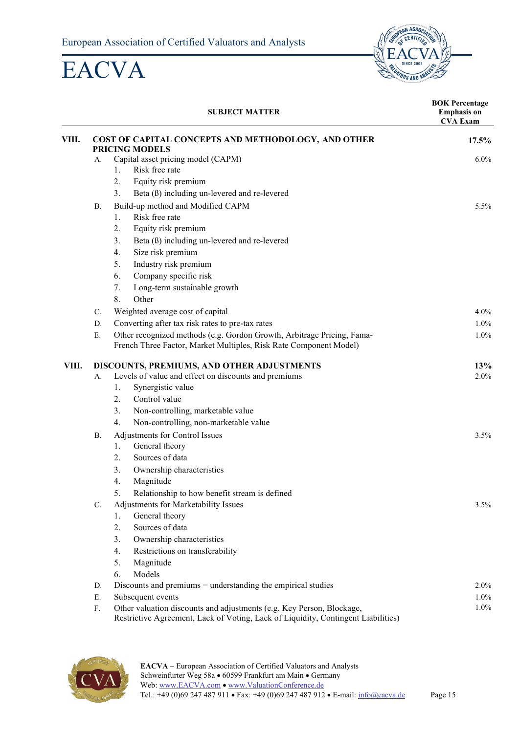

|       |                                                     | <b>SUBJECT MATTER</b>                                                                                                                                      | <b>BOK Percentage</b><br><b>Emphasis</b> on<br><b>CVA Exam</b> |
|-------|-----------------------------------------------------|------------------------------------------------------------------------------------------------------------------------------------------------------------|----------------------------------------------------------------|
| VIII. | COST OF CAPITAL CONCEPTS AND METHODOLOGY, AND OTHER |                                                                                                                                                            | 17.5%                                                          |
|       | А.                                                  | <b>PRICING MODELS</b><br>Capital asset pricing model (CAPM)                                                                                                | $6.0\%$                                                        |
|       |                                                     | Risk free rate<br>1.                                                                                                                                       |                                                                |
|       |                                                     | 2.<br>Equity risk premium                                                                                                                                  |                                                                |
|       |                                                     | 3.<br>Beta (ß) including un-levered and re-levered                                                                                                         |                                                                |
|       | <b>B.</b>                                           | Build-up method and Modified CAPM                                                                                                                          | 5.5%                                                           |
|       |                                                     | Risk free rate<br>1.                                                                                                                                       |                                                                |
|       |                                                     | 2.<br>Equity risk premium                                                                                                                                  |                                                                |
|       |                                                     | 3.<br>Beta (ß) including un-levered and re-levered                                                                                                         |                                                                |
|       |                                                     | Size risk premium<br>4.                                                                                                                                    |                                                                |
|       |                                                     | 5.<br>Industry risk premium                                                                                                                                |                                                                |
|       |                                                     | 6.<br>Company specific risk                                                                                                                                |                                                                |
|       |                                                     | Long-term sustainable growth<br>7.                                                                                                                         |                                                                |
|       |                                                     | 8.<br>Other                                                                                                                                                |                                                                |
|       | C.                                                  | Weighted average cost of capital                                                                                                                           | $4.0\%$                                                        |
|       | D.                                                  | Converting after tax risk rates to pre-tax rates                                                                                                           | $1.0\%$                                                        |
|       | Ε.                                                  | Other recognized methods (e.g. Gordon Growth, Arbitrage Pricing, Fama-                                                                                     | 1.0%                                                           |
|       |                                                     | French Three Factor, Market Multiples, Risk Rate Component Model)                                                                                          |                                                                |
| VIII. |                                                     | DISCOUNTS, PREMIUMS, AND OTHER ADJUSTMENTS                                                                                                                 | 13%                                                            |
|       | А.                                                  | Levels of value and effect on discounts and premiums                                                                                                       | 2.0%                                                           |
|       |                                                     | Synergistic value<br>1.                                                                                                                                    |                                                                |
|       |                                                     | 2.<br>Control value                                                                                                                                        |                                                                |
|       |                                                     | 3.<br>Non-controlling, marketable value                                                                                                                    |                                                                |
|       |                                                     | 4.<br>Non-controlling, non-marketable value                                                                                                                |                                                                |
|       | <b>B.</b>                                           | Adjustments for Control Issues                                                                                                                             | $3.5\%$                                                        |
|       |                                                     | General theory<br>1.                                                                                                                                       |                                                                |
|       |                                                     | Sources of data<br>2.                                                                                                                                      |                                                                |
|       |                                                     | 3.<br>Ownership characteristics                                                                                                                            |                                                                |
|       |                                                     | 4.<br>Magnitude                                                                                                                                            |                                                                |
|       |                                                     | Relationship to how benefit stream is defined<br>5.                                                                                                        |                                                                |
|       | C.                                                  | Adjustments for Marketability Issues                                                                                                                       | 3.5%                                                           |
|       |                                                     | General theory<br>1.                                                                                                                                       |                                                                |
|       |                                                     | Sources of data<br>2.                                                                                                                                      |                                                                |
|       |                                                     | 3.<br>Ownership characteristics                                                                                                                            |                                                                |
|       |                                                     | 4.<br>Restrictions on transferability                                                                                                                      |                                                                |
|       |                                                     | 5.<br>Magnitude                                                                                                                                            |                                                                |
|       |                                                     | Models<br>6.                                                                                                                                               |                                                                |
|       | D.                                                  | Discounts and premiums $-$ understanding the empirical studies                                                                                             | $2.0\%$                                                        |
|       | Ε.                                                  | Subsequent events                                                                                                                                          | 1.0%                                                           |
|       | ${\bf F}.$                                          | Other valuation discounts and adjustments (e.g. Key Person, Blockage,<br>Restrictive Agreement, Lack of Voting, Lack of Liquidity, Contingent Liabilities) | 1.0%                                                           |

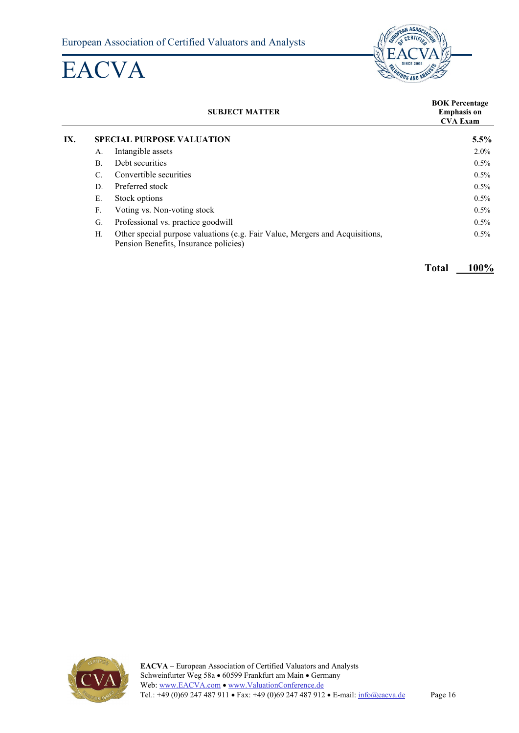

|     |                                  | <b>SUBJECT MATTER</b>                                                                                                 | <b>BOK Percentage</b><br><b>Emphasis on</b><br><b>CVA Exam</b> |
|-----|----------------------------------|-----------------------------------------------------------------------------------------------------------------------|----------------------------------------------------------------|
| IX. | <b>SPECIAL PURPOSE VALUATION</b> | 5.5%                                                                                                                  |                                                                |
|     | А.                               | Intangible assets                                                                                                     | $2.0\%$                                                        |
|     | <b>B.</b>                        | Debt securities                                                                                                       | $0.5\%$                                                        |
|     | $\mathcal{C}$ .                  | Convertible securities                                                                                                | $0.5\%$                                                        |
|     | D.                               | Preferred stock                                                                                                       | $0.5\%$                                                        |
|     | Ε.                               | Stock options                                                                                                         | $0.5\%$                                                        |
|     | F.                               | Voting vs. Non-voting stock                                                                                           | $0.5\%$                                                        |
|     | G.                               | Professional vs. practice goodwill                                                                                    | $0.5\%$                                                        |
|     | Н.                               | Other special purpose valuations (e.g. Fair Value, Mergers and Acquisitions,<br>Pension Benefits, Insurance policies) | $0.5\%$                                                        |

**Total 100%**

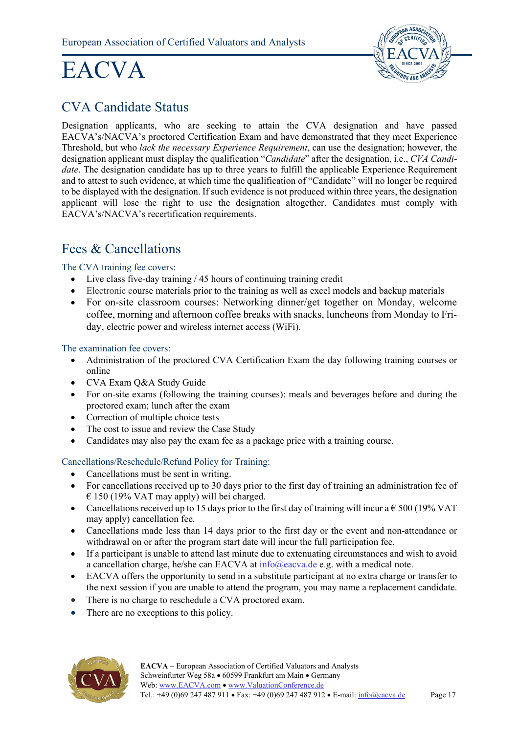

### <span id="page-16-0"></span>CVA Candidate Status

Designation applicants, who are seeking to attain the CVA designation and have passed EACVA's/NACVA's proctored Certification Exam and have demonstrated that they meet Experience Threshold, but who *lack the necessary Experience Requirement*, can use the designation; however, the designation applicant must display the qualification "*Candidate*" after the designation, i.e., *CVA Candidate*. The designation candidate has up to three years to fulfill the applicable Experience Requirement and to attest to such evidence, at which time the qualification of "Candidate" will no longer be required to be displayed with the designation. If such evidence is not produced within three years, the designation applicant will lose the right to use the designation altogether. Candidates must comply with EACVA's/NACVA's recertification requirements.

### <span id="page-16-1"></span>Fees & Cancellations

The CVA training fee covers:

- Live class five-day training / 45 hours of continuing training credit
- Electronic course materials prior to the training as well as excel models and backup materials
- For on-site classroom courses: Networking dinner/get together on Monday, welcome coffee, morning and afternoon coffee breaks with snacks, luncheons from Monday to Friday, electric power and wireless internet access (WiFi).

#### The examination fee covers:

- Administration of the proctored CVA Certification Exam the day following training courses or online
- CVA Exam Q&A Study Guide
- For on-site exams (following the training courses): meals and beverages before and during the proctored exam; lunch after the exam
- Correction of multiple choice tests
- The cost to issue and review the Case Study
- Candidates may also pay the exam fee as a package price with a training course.

#### Cancellations/Reschedule/Refund Policy for Training:

- Cancellations must be sent in writing.
- For cancellations received up to 30 days prior to the first day of training an administration fee of  $\epsilon$  150 (19% VAT may apply) will bei charged.
- Cancellations received up to 15 days prior to the first day of training will incur a  $\epsilon$  500 (19% VAT may apply) cancellation fee.
- Cancellations made less than 14 days prior to the first day or the event and non-attendance or withdrawal on or after the program start date will incur the full participation fee.
- If a participant is unable to attend last minute due to extenuating circumstances and wish to avoid a cancellation charge, he/she can EACVA at  $\frac{info@eacva.de}{info@eacva.de}$  e.g. with a medical note.
- EACVA offers the opportunity to send in a substitute participant at no extra charge or transfer to the next session if you are unable to attend the program, you may name a replacement candidate.
- There is no charge to reschedule a CVA proctored exam.
- There are no exceptions to this policy.